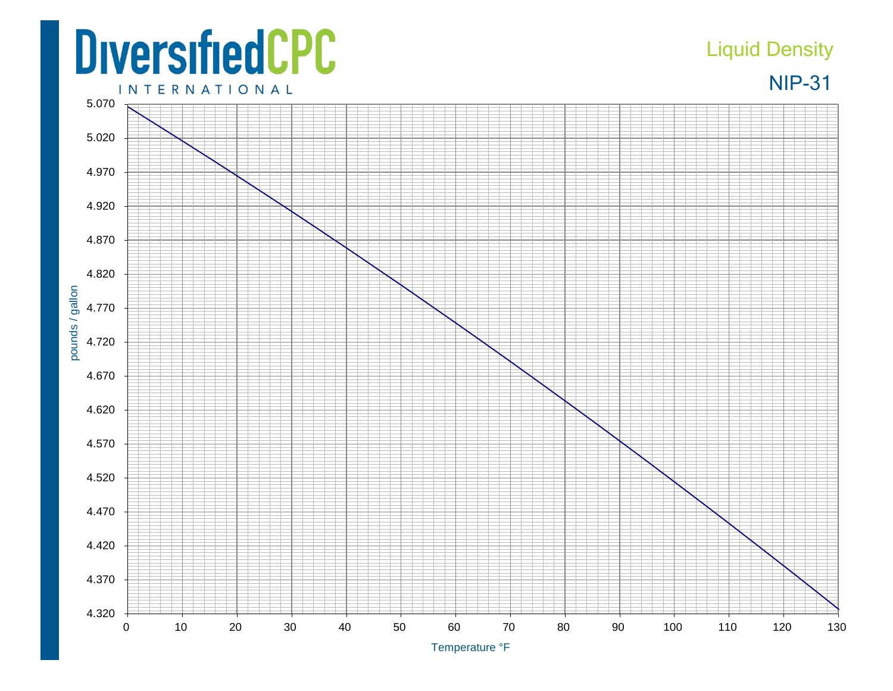## **DiversifiedCPC**

## Liquid Density



**INTERNATIONAL** 5.070 5.020 4.970 4.920 4.870 4.820 pounds / gallon pounds / gallon 4.770 4.720 4.670 4.620 4.570 4.520 4.470 4.420 4.370 4.320 0 10 20 30 40 50 60 70 80 90 100 110 120 130

Temperature °F